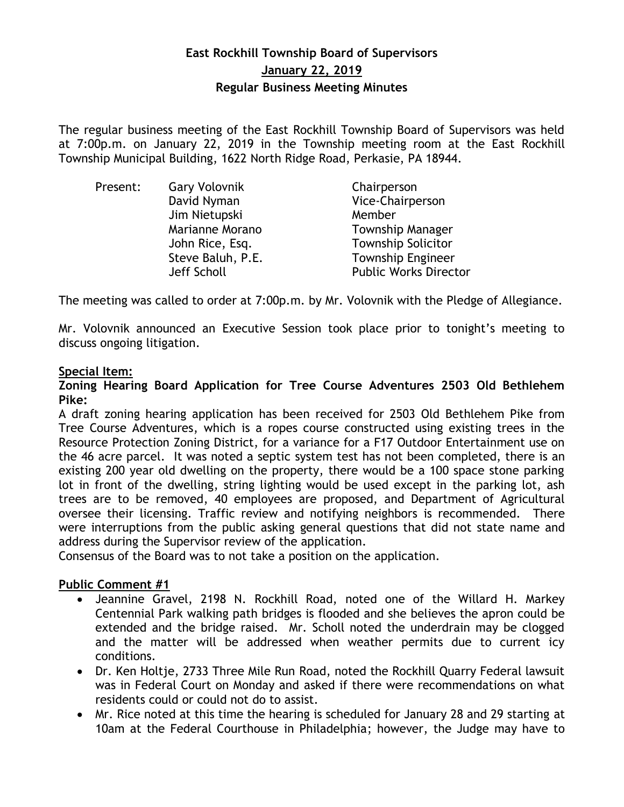# **East Rockhill Township Board of Supervisors January 22, 2019 Regular Business Meeting Minutes**

The regular business meeting of the East Rockhill Township Board of Supervisors was held at 7:00p.m. on January 22, 2019 in the Township meeting room at the East Rockhill Township Municipal Building, 1622 North Ridge Road, Perkasie, PA 18944.

| <b>Gary Volovnik</b> | Chairperson                  |
|----------------------|------------------------------|
| David Nyman          | Vice-Chairperson             |
| Jim Nietupski        | Member                       |
| Marianne Morano      | <b>Township Manager</b>      |
| John Rice, Esq.      | <b>Township Solicitor</b>    |
| Steve Baluh, P.E.    | <b>Township Engineer</b>     |
| Jeff Scholl          | <b>Public Works Director</b> |
|                      |                              |

The meeting was called to order at 7:00p.m. by Mr. Volovnik with the Pledge of Allegiance.

Mr. Volovnik announced an Executive Session took place prior to tonight's meeting to discuss ongoing litigation.

## **Special Item:**

#### **Zoning Hearing Board Application for Tree Course Adventures 2503 Old Bethlehem Pike:**

A draft zoning hearing application has been received for 2503 Old Bethlehem Pike from Tree Course Adventures, which is a ropes course constructed using existing trees in the Resource Protection Zoning District, for a variance for a F17 Outdoor Entertainment use on the 46 acre parcel. It was noted a septic system test has not been completed, there is an existing 200 year old dwelling on the property, there would be a 100 space stone parking lot in front of the dwelling, string lighting would be used except in the parking lot, ash trees are to be removed, 40 employees are proposed, and Department of Agricultural oversee their licensing. Traffic review and notifying neighbors is recommended. There were interruptions from the public asking general questions that did not state name and address during the Supervisor review of the application.

Consensus of the Board was to not take a position on the application.

## **Public Comment #1**

- Jeannine Gravel, 2198 N. Rockhill Road, noted one of the Willard H. Markey Centennial Park walking path bridges is flooded and she believes the apron could be extended and the bridge raised. Mr. Scholl noted the underdrain may be clogged and the matter will be addressed when weather permits due to current icy conditions.
- Dr. Ken Holtje, 2733 Three Mile Run Road, noted the Rockhill Quarry Federal lawsuit was in Federal Court on Monday and asked if there were recommendations on what residents could or could not do to assist.
- Mr. Rice noted at this time the hearing is scheduled for January 28 and 29 starting at 10am at the Federal Courthouse in Philadelphia; however, the Judge may have to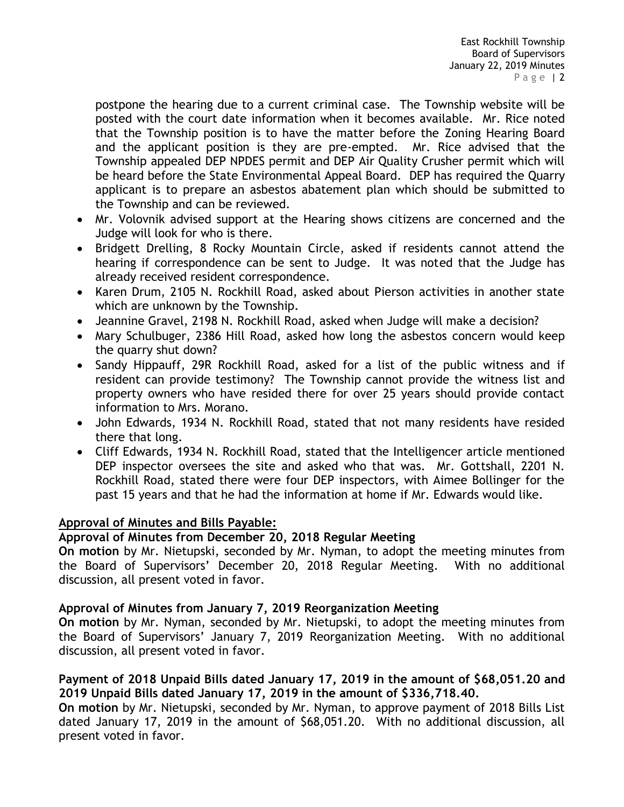postpone the hearing due to a current criminal case. The Township website will be posted with the court date information when it becomes available. Mr. Rice noted that the Township position is to have the matter before the Zoning Hearing Board and the applicant position is they are pre-empted. Mr. Rice advised that the Township appealed DEP NPDES permit and DEP Air Quality Crusher permit which will be heard before the State Environmental Appeal Board. DEP has required the Quarry applicant is to prepare an asbestos abatement plan which should be submitted to the Township and can be reviewed.

- Mr. Volovnik advised support at the Hearing shows citizens are concerned and the Judge will look for who is there.
- Bridgett Drelling, 8 Rocky Mountain Circle, asked if residents cannot attend the hearing if correspondence can be sent to Judge. It was noted that the Judge has already received resident correspondence.
- Karen Drum, 2105 N. Rockhill Road, asked about Pierson activities in another state which are unknown by the Township.
- Jeannine Gravel, 2198 N. Rockhill Road, asked when Judge will make a decision?
- Mary Schulbuger, 2386 Hill Road, asked how long the asbestos concern would keep the quarry shut down?
- Sandy Hippauff, 29R Rockhill Road, asked for a list of the public witness and if resident can provide testimony? The Township cannot provide the witness list and property owners who have resided there for over 25 years should provide contact information to Mrs. Morano.
- John Edwards, 1934 N. Rockhill Road, stated that not many residents have resided there that long.
- Cliff Edwards, 1934 N. Rockhill Road, stated that the Intelligencer article mentioned DEP inspector oversees the site and asked who that was. Mr. Gottshall, 2201 N. Rockhill Road, stated there were four DEP inspectors, with Aimee Bollinger for the past 15 years and that he had the information at home if Mr. Edwards would like.

## **Approval of Minutes and Bills Payable:**

## **Approval of Minutes from December 20, 2018 Regular Meeting**

**On motion** by Mr. Nietupski, seconded by Mr. Nyman, to adopt the meeting minutes from the Board of Supervisors' December 20, 2018 Regular Meeting. With no additional discussion, all present voted in favor.

## **Approval of Minutes from January 7, 2019 Reorganization Meeting**

**On motion** by Mr. Nyman, seconded by Mr. Nietupski, to adopt the meeting minutes from the Board of Supervisors' January 7, 2019 Reorganization Meeting. With no additional discussion, all present voted in favor.

## **Payment of 2018 Unpaid Bills dated January 17, 2019 in the amount of \$68,051.20 and 2019 Unpaid Bills dated January 17, 2019 in the amount of \$336,718.40.**

**On motion** by Mr. Nietupski, seconded by Mr. Nyman, to approve payment of 2018 Bills List dated January 17, 2019 in the amount of \$68,051.20. With no additional discussion, all present voted in favor.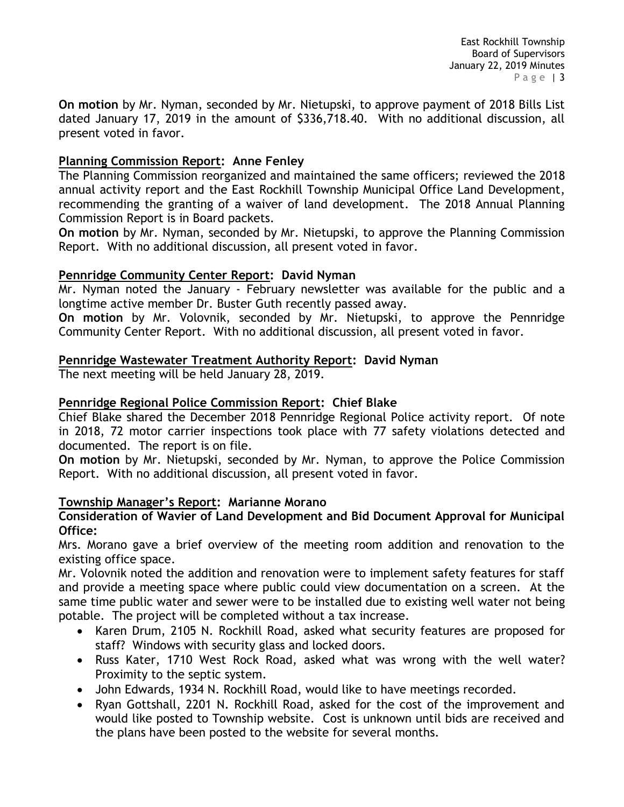**On motion** by Mr. Nyman, seconded by Mr. Nietupski, to approve payment of 2018 Bills List dated January 17, 2019 in the amount of \$336,718.40. With no additional discussion, all present voted in favor.

## **Planning Commission Report: Anne Fenley**

The Planning Commission reorganized and maintained the same officers; reviewed the 2018 annual activity report and the East Rockhill Township Municipal Office Land Development, recommending the granting of a waiver of land development. The 2018 Annual Planning Commission Report is in Board packets.

**On motion** by Mr. Nyman, seconded by Mr. Nietupski, to approve the Planning Commission Report. With no additional discussion, all present voted in favor.

## **Pennridge Community Center Report: David Nyman**

Mr. Nyman noted the January - February newsletter was available for the public and a longtime active member Dr. Buster Guth recently passed away.

**On motion** by Mr. Volovnik, seconded by Mr. Nietupski, to approve the Pennridge Community Center Report. With no additional discussion, all present voted in favor.

## **Pennridge Wastewater Treatment Authority Report: David Nyman**

The next meeting will be held January 28, 2019.

## **Pennridge Regional Police Commission Report: Chief Blake**

Chief Blake shared the December 2018 Pennridge Regional Police activity report. Of note in 2018, 72 motor carrier inspections took place with 77 safety violations detected and documented. The report is on file.

**On motion** by Mr. Nietupski, seconded by Mr. Nyman, to approve the Police Commission Report. With no additional discussion, all present voted in favor.

## **Township Manager's Report: Marianne Morano**

#### **Consideration of Wavier of Land Development and Bid Document Approval for Municipal Office:**

Mrs. Morano gave a brief overview of the meeting room addition and renovation to the existing office space.

Mr. Volovnik noted the addition and renovation were to implement safety features for staff and provide a meeting space where public could view documentation on a screen. At the same time public water and sewer were to be installed due to existing well water not being potable. The project will be completed without a tax increase.

- Karen Drum, 2105 N. Rockhill Road, asked what security features are proposed for staff? Windows with security glass and locked doors.
- Russ Kater, 1710 West Rock Road, asked what was wrong with the well water? Proximity to the septic system.
- John Edwards, 1934 N. Rockhill Road, would like to have meetings recorded.
- Ryan Gottshall, 2201 N. Rockhill Road, asked for the cost of the improvement and would like posted to Township website. Cost is unknown until bids are received and the plans have been posted to the website for several months.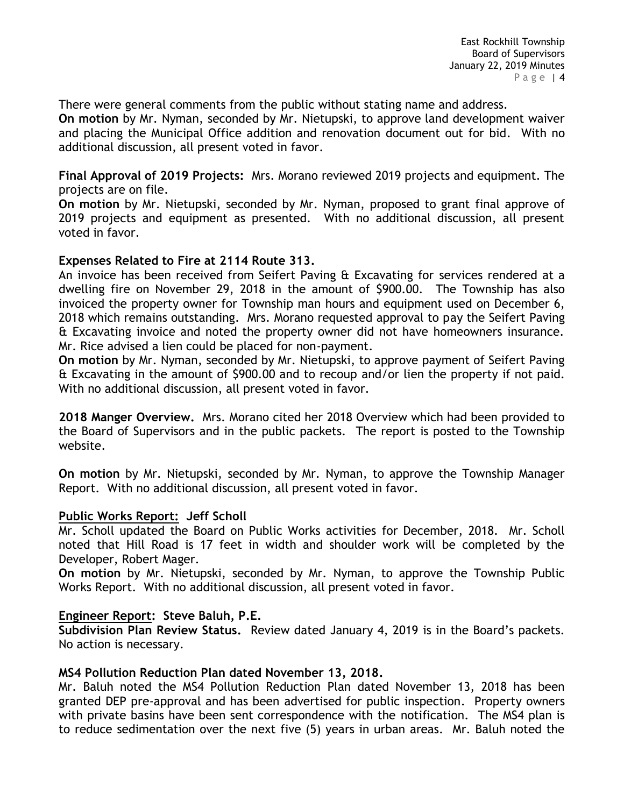There were general comments from the public without stating name and address.

**On motion** by Mr. Nyman, seconded by Mr. Nietupski, to approve land development waiver and placing the Municipal Office addition and renovation document out for bid. With no additional discussion, all present voted in favor.

**Final Approval of 2019 Projects:** Mrs. Morano reviewed 2019 projects and equipment. The projects are on file.

**On motion** by Mr. Nietupski, seconded by Mr. Nyman, proposed to grant final approve of 2019 projects and equipment as presented. With no additional discussion, all present voted in favor.

## **Expenses Related to Fire at 2114 Route 313.**

An invoice has been received from Seifert Paving & Excavating for services rendered at a dwelling fire on November 29, 2018 in the amount of \$900.00. The Township has also invoiced the property owner for Township man hours and equipment used on December 6, 2018 which remains outstanding. Mrs. Morano requested approval to pay the Seifert Paving & Excavating invoice and noted the property owner did not have homeowners insurance. Mr. Rice advised a lien could be placed for non-payment.

**On motion** by Mr. Nyman, seconded by Mr. Nietupski, to approve payment of Seifert Paving & Excavating in the amount of \$900.00 and to recoup and/or lien the property if not paid. With no additional discussion, all present voted in favor.

**2018 Manger Overview.** Mrs. Morano cited her 2018 Overview which had been provided to the Board of Supervisors and in the public packets. The report is posted to the Township website.

**On motion** by Mr. Nietupski, seconded by Mr. Nyman, to approve the Township Manager Report. With no additional discussion, all present voted in favor.

#### **Public Works Report: Jeff Scholl**

Mr. Scholl updated the Board on Public Works activities for December, 2018. Mr. Scholl noted that Hill Road is 17 feet in width and shoulder work will be completed by the Developer, Robert Mager.

**On motion** by Mr. Nietupski, seconded by Mr. Nyman, to approve the Township Public Works Report. With no additional discussion, all present voted in favor.

## **Engineer Report: Steve Baluh, P.E.**

**Subdivision Plan Review Status.** Review dated January 4, 2019 is in the Board's packets. No action is necessary.

#### **MS4 Pollution Reduction Plan dated November 13, 2018.**

Mr. Baluh noted the MS4 Pollution Reduction Plan dated November 13, 2018 has been granted DEP pre-approval and has been advertised for public inspection. Property owners with private basins have been sent correspondence with the notification. The MS4 plan is to reduce sedimentation over the next five (5) years in urban areas. Mr. Baluh noted the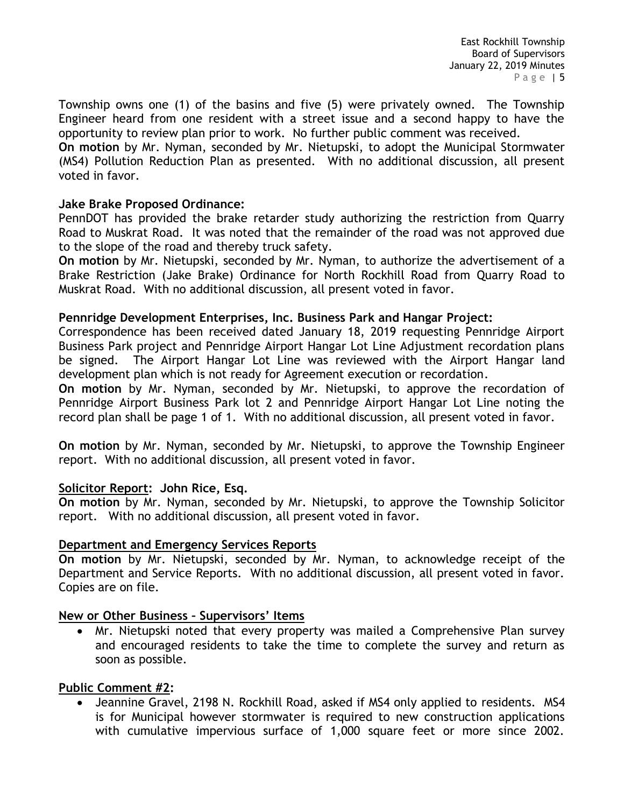Township owns one (1) of the basins and five (5) were privately owned. The Township Engineer heard from one resident with a street issue and a second happy to have the opportunity to review plan prior to work. No further public comment was received.

**On motion** by Mr. Nyman, seconded by Mr. Nietupski, to adopt the Municipal Stormwater (MS4) Pollution Reduction Plan as presented. With no additional discussion, all present voted in favor.

#### **Jake Brake Proposed Ordinance:**

PennDOT has provided the brake retarder study authorizing the restriction from Quarry Road to Muskrat Road. It was noted that the remainder of the road was not approved due to the slope of the road and thereby truck safety.

**On motion** by Mr. Nietupski, seconded by Mr. Nyman, to authorize the advertisement of a Brake Restriction (Jake Brake) Ordinance for North Rockhill Road from Quarry Road to Muskrat Road. With no additional discussion, all present voted in favor.

#### **Pennridge Development Enterprises, Inc. Business Park and Hangar Project:**

Correspondence has been received dated January 18, 2019 requesting Pennridge Airport Business Park project and Pennridge Airport Hangar Lot Line Adjustment recordation plans be signed. The Airport Hangar Lot Line was reviewed with the Airport Hangar land development plan which is not ready for Agreement execution or recordation.

**On motion** by Mr. Nyman, seconded by Mr. Nietupski, to approve the recordation of Pennridge Airport Business Park lot 2 and Pennridge Airport Hangar Lot Line noting the record plan shall be page 1 of 1. With no additional discussion, all present voted in favor.

**On motion** by Mr. Nyman, seconded by Mr. Nietupski, to approve the Township Engineer report. With no additional discussion, all present voted in favor.

## **Solicitor Report: John Rice, Esq.**

**On motion** by Mr. Nyman, seconded by Mr. Nietupski, to approve the Township Solicitor report. With no additional discussion, all present voted in favor.

#### **Department and Emergency Services Reports**

**On motion** by Mr. Nietupski, seconded by Mr. Nyman, to acknowledge receipt of the Department and Service Reports. With no additional discussion, all present voted in favor. Copies are on file.

#### **New or Other Business – Supervisors' Items**

 Mr. Nietupski noted that every property was mailed a Comprehensive Plan survey and encouraged residents to take the time to complete the survey and return as soon as possible.

#### **Public Comment #2:**

• Jeannine Gravel, 2198 N. Rockhill Road, asked if MS4 only applied to residents. MS4 is for Municipal however stormwater is required to new construction applications with cumulative impervious surface of 1,000 square feet or more since 2002.